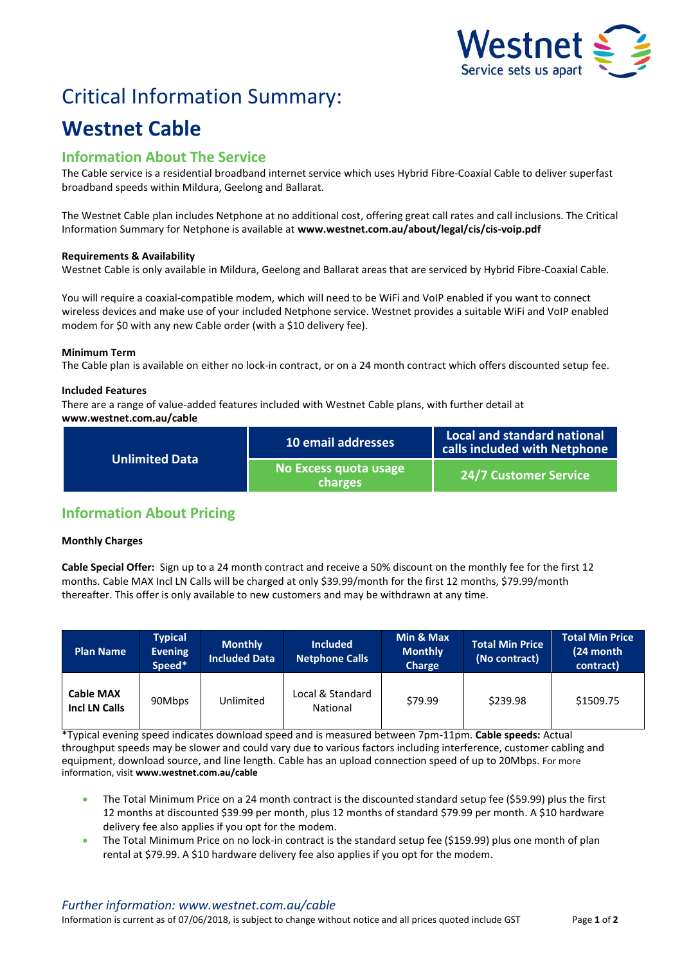

# Critical Information Summary:

## **Westnet Cable**

## **Information About The Service**

The Cable service is a residential broadband internet service which uses Hybrid Fibre-Coaxial Cable to deliver superfast broadband speeds within Mildura, Geelong and Ballarat.

The Westnet Cable plan includes Netphone at no additional cost, offering great call rates and call inclusions. The Critical Information Summary for Netphone is available at **www.westnet.com.au/about/legal/cis/cis-voip.pdf**

#### **Requirements & Availability**

Westnet Cable is only available in Mildura, Geelong and Ballarat areas that are serviced by Hybrid Fibre-Coaxial Cable.

You will require a coaxial-compatible modem, which will need to be WiFi and VoIP enabled if you want to connect wireless devices and make use of your included Netphone service. Westnet provides a suitable WiFi and VoIP enabled modem for \$0 with any new Cable order (with a \$10 delivery fee).

#### **Minimum Term**

The Cable plan is available on either no lock-in contract, or on a 24 month contract which offers discounted setup fee.

#### **Included Features**

There are a range of value-added features included with Westnet Cable plans, with further detail at **www.westnet.com.au/cable**

| <b>Unlimited Data</b> | 10 email addresses               | Local and standard national<br>calls included with Netphone |  |
|-----------------------|----------------------------------|-------------------------------------------------------------|--|
|                       | No Excess quota usage<br>charges | <b>24/7 Customer Service</b>                                |  |

## **Information About Pricing**

#### **Monthly Charges**

**Cable Special Offer:** Sign up to a 24 month contract and receive a 50% discount on the monthly fee for the first 12 months. Cable MAX Incl LN Calls will be charged at only \$39.99/month for the first 12 months, \$79.99/month thereafter. This offer is only available to new customers and may be withdrawn at any time.

| <b>Plan Name</b>                  | <b>Typical</b><br><b>Evening</b><br>Speed* | <b>Monthly</b><br><b>Included Data</b> | <b>Included</b><br><b>Netphone Calls</b> | Min & Max<br><b>Monthly</b><br>Charge | <b>Total Min Price</b><br>(No contract) | <b>Total Min Price</b><br>(24 month<br>contract) |
|-----------------------------------|--------------------------------------------|----------------------------------------|------------------------------------------|---------------------------------------|-----------------------------------------|--------------------------------------------------|
| <b>Cable MAX</b><br>Incl LN Calls | 90Mbps                                     | Unlimited                              | Local & Standard<br>National             | \$79.99                               | \$239.98                                | \$1509.75                                        |

\*Typical evening speed indicates download speed and is measured between 7pm-11pm. **Cable speeds:** Actual throughput speeds may be slower and could vary due to various factors including interference, customer cabling and equipment, download source, and line length. Cable has an upload connection speed of up to 20Mbps. For more information, visit **www.westnet.com.au/cable**

- The Total Minimum Price on a 24 month contract is the discounted standard setup fee (\$59.99) plus the first 12 months at discounted \$39.99 per month, plus 12 months of standard \$79.99 per month. A \$10 hardware delivery fee also applies if you opt for the modem.
- The Total Minimum Price on no lock-in contract is the standard setup fee (\$159.99) plus one month of plan rental at \$79.99. A \$10 hardware delivery fee also applies if you opt for the modem.